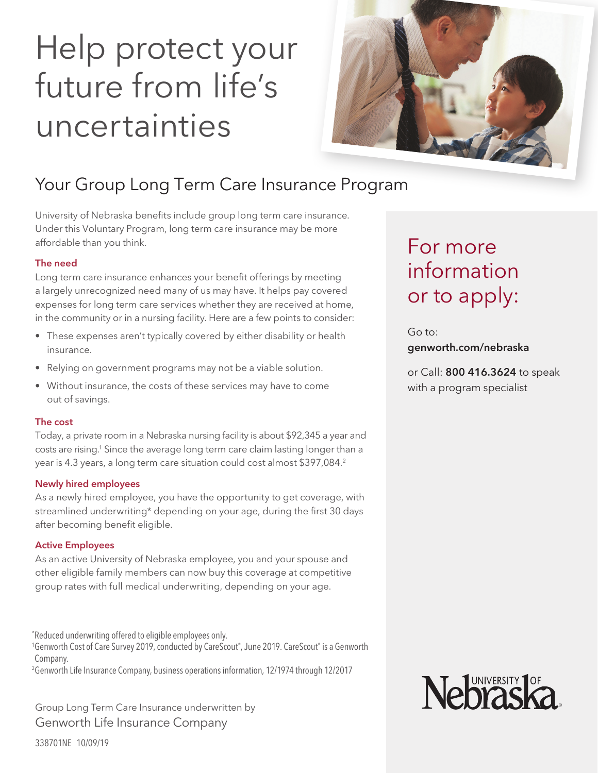# Help protect your future from life's uncertainties



### Your Group Long Term Care Insurance Program

University of Nebraska benefits include group long term care insurance. Under this Voluntary Program, long term care insurance may be more affordable than you think.

#### The need

Long term care insurance enhances your benefit offerings by meeting a largely unrecognized need many of us may have. It helps pay covered expenses for long term care services whether they are received at home, in the community or in a nursing facility. Here are a few points to consider:

- These expenses aren't typically covered by either disability or health insurance.
- Relying on government programs may not be a viable solution.
- Without insurance, the costs of these services may have to come out of savings.

#### The cost

Today, a private room in a Nebraska nursing facility is about \$92,345 a year and costs are rising. 1 Since the average long term care claim lasting longer than a year is 4.3 years, a long term care situation could cost almost \$397,084. 2

#### Newly hired employees

As a newly hired employee, you have the opportunity to get coverage, with streamlined underwriting\* depending on your age, during the first 30 days after becoming benefit eligible.

#### Active Employees

As an active University of Nebraska employee, you and your spouse and other eligible family members can now buy this coverage at competitive group rates with full medical underwriting, depending on your age.

\* Reduced underwriting offered to eligible employees only.

<sup>1</sup>Genworth Cost of Care Survey 2019, conducted by CareScout®, June 2019. CareScout® is a Genworth Company.

2 Genworth Life Insurance Company, business operations information, 12/1974 through 12/2017

Group Long Term Care Insurance underwritten by Genworth Life Insurance Company

## For more information or to apply:

Go to: genworth.com/nebraska

or Call: 800 416.3624 to speak with a program specialist



338701NE 10/09/19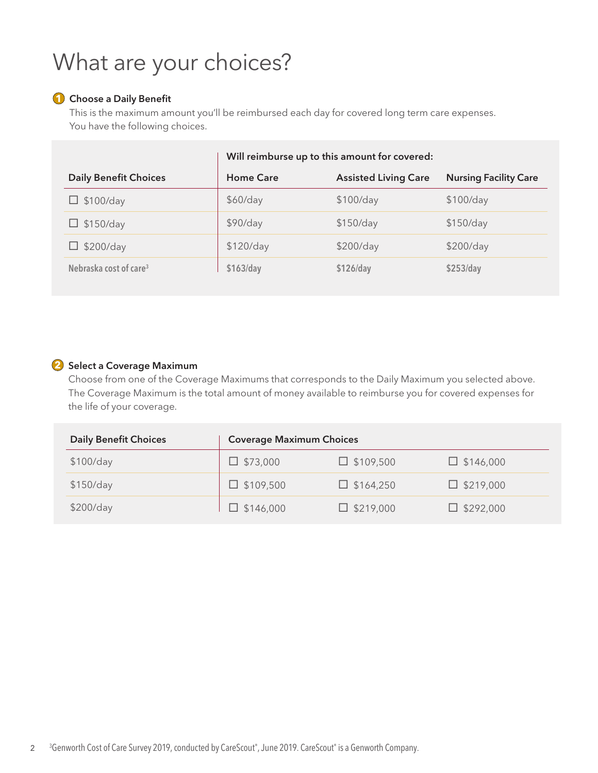# What are your choices?

#### **1** Choose a Daily Benefit

This is the maximum amount you'll be reimbursed each day for covered long term care expenses. You have the following choices.

|                                    | Will reimburse up to this amount for covered: |                             |                              |
|------------------------------------|-----------------------------------------------|-----------------------------|------------------------------|
| <b>Daily Benefit Choices</b>       | <b>Home Care</b>                              | <b>Assisted Living Care</b> | <b>Nursing Facility Care</b> |
| $\Box$ \$100/day                   | \$60/day                                      | \$100/day                   | \$100/day                    |
| $\Box$ \$150/day                   | \$90/day                                      | \$150/day                   | \$150/day                    |
| \$200/day                          | \$120/day                                     | \$200/day                   | \$200/day                    |
| Nebraska cost of care <sup>3</sup> | \$163/day                                     | \$126/day                   | \$253/day                    |

#### **2** Select a Coverage Maximum

Choose from one of the Coverage Maximums that corresponds to the Daily Maximum you selected above. The Coverage Maximum is the total amount of money available to reimburse you for covered expenses for the life of your coverage.

| <b>Daily Benefit Choices</b> | <b>Coverage Maximum Choices</b> |                  |                  |
|------------------------------|---------------------------------|------------------|------------------|
| \$100/day                    | $\Box$ \$73,000                 | $\Box$ \$109,500 | $\Box$ \$146,000 |
| \$150/day                    | $\Box$ \$109,500                | $\Box$ \$164,250 | $\Box$ \$219,000 |
| \$200/day                    | $\Box$ \$146,000                | $\Box$ \$219,000 | $\Box$ \$292,000 |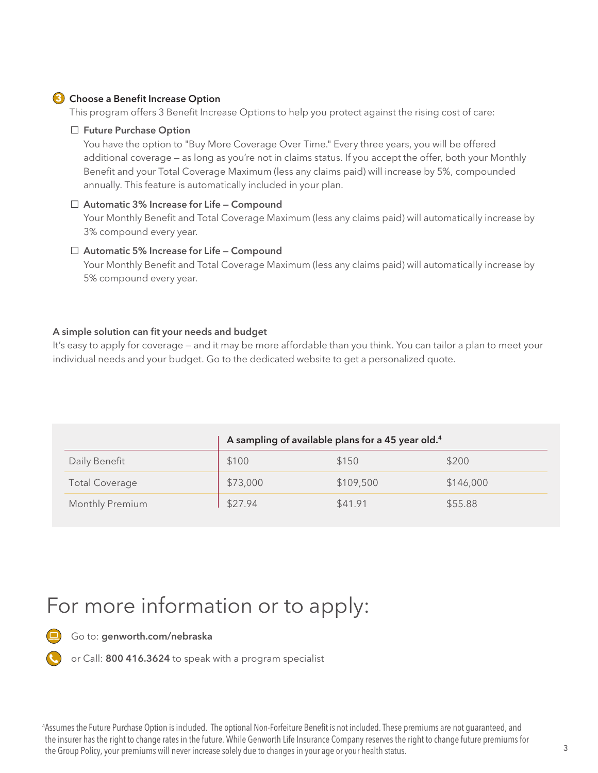#### **3** Choose a Benefit Increase Option

This program offers 3 Benefit Increase Options to help you protect against the rising cost of care:

#### □ Future Purchase Option

You have the option to "Buy More Coverage Over Time." Every three years, you will be offered additional coverage — as long as you're not in claims status. If you accept the offer, both your Monthly Benefit and your Total Coverage Maximum (less any claims paid) will increase by 5%, compounded annually. This feature is automatically included in your plan.

#### $\square$  Automatic 3% Increase for Life - Compound

Your Monthly Benefit and Total Coverage Maximum (less any claims paid) will automatically increase by 3% compound every year.

#### $\square$  Automatic 5% Increase for Life – Compound

Your Monthly Benefit and Total Coverage Maximum (less any claims paid) will automatically increase by 5% compound every year.

#### A simple solution can fit your needs and budget

It's easy to apply for coverage — and it may be more affordable than you think. You can tailor a plan to meet your individual needs and your budget. Go to the dedicated website to get a personalized quote.

|                       | A sampling of available plans for a 45 year old. <sup>4</sup> |           |           |
|-----------------------|---------------------------------------------------------------|-----------|-----------|
| Daily Benefit         | \$100                                                         | \$150     | \$200     |
| <b>Total Coverage</b> | \$73,000                                                      | \$109,500 | \$146,000 |
| Monthly Premium       | \$27.94                                                       | \$41.91   | \$55.88   |

### For more information or to apply:



Go to: genworth.com/nebraska

or Call: 800 416.3624 to speak with a program specialist

4Assumes the Future Purchase Option is included. The optional Non-Forfeiture Benefit is not included. These premiums are not guaranteed, and the insurer has the right to change rates in the future. While Genworth Life Insurance Company reserves the right to change future premiums for the Group Policy, your premiums will never increase solely due to changes in your age or your health status.